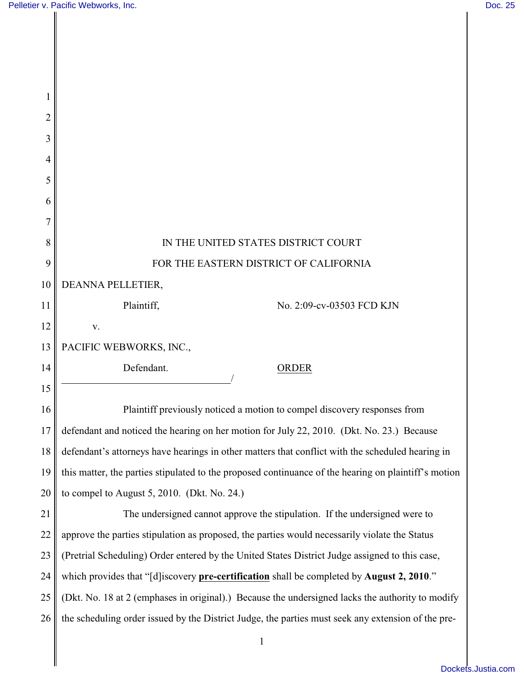H

| 1  |                                                                                                      |
|----|------------------------------------------------------------------------------------------------------|
| 2  |                                                                                                      |
| 3  |                                                                                                      |
| 4  |                                                                                                      |
| 5  |                                                                                                      |
| 6  |                                                                                                      |
| 7  |                                                                                                      |
| 8  | IN THE UNITED STATES DISTRICT COURT                                                                  |
| 9  | FOR THE EASTERN DISTRICT OF CALIFORNIA                                                               |
| 10 | DEANNA PELLETIER,                                                                                    |
| 11 | Plaintiff,<br>No. 2:09-cv-03503 FCD KJN                                                              |
| 12 | V.                                                                                                   |
| 13 | PACIFIC WEBWORKS, INC.,                                                                              |
| 14 | Defendant.<br>ORDER                                                                                  |
| 15 |                                                                                                      |
| 16 | Plaintiff previously noticed a motion to compel discovery responses from                             |
| 17 | defendant and noticed the hearing on her motion for July 22, 2010. (Dkt. No. 23.) Because            |
| 18 | defendant's attorneys have hearings in other matters that conflict with the scheduled hearing in     |
| 19 | this matter, the parties stipulated to the proposed continuance of the hearing on plaintiff's motion |
| 20 | to compel to August $5, 2010$ . (Dkt. No. 24.)                                                       |
| 21 | The undersigned cannot approve the stipulation. If the undersigned were to                           |
| 22 | approve the parties stipulation as proposed, the parties would necessarily violate the Status        |
| 23 | (Pretrial Scheduling) Order entered by the United States District Judge assigned to this case,       |
| 24 | which provides that "[d] iscovery pre-certification shall be completed by August 2, 2010."           |
| 25 | (Dkt. No. 18 at 2 (emphases in original).) Because the undersigned lacks the authority to modify     |
| 26 | the scheduling order issued by the District Judge, the parties must seek any extension of the pre-   |
|    | $\mathbf{1}$                                                                                         |
|    |                                                                                                      |